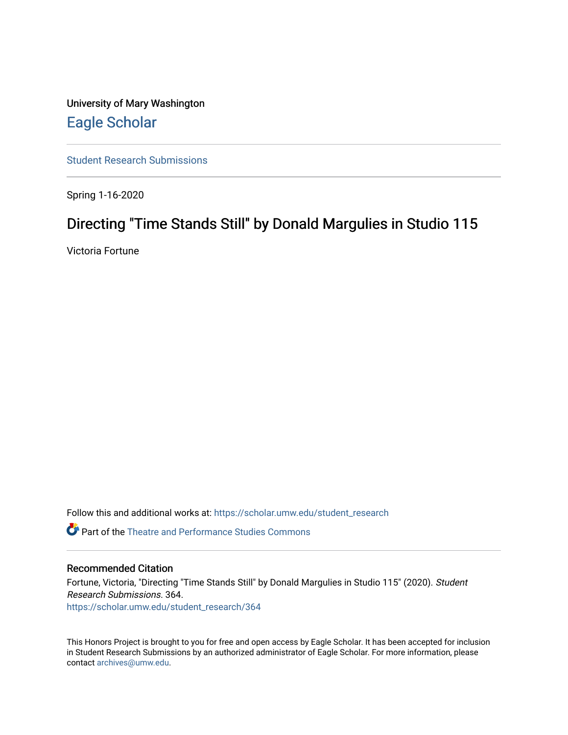University of Mary Washington [Eagle Scholar](https://scholar.umw.edu/) 

[Student Research Submissions](https://scholar.umw.edu/student_research) 

Spring 1-16-2020

### Directing "Time Stands Still" by Donald Margulies in Studio 115

Victoria Fortune

Follow this and additional works at: [https://scholar.umw.edu/student\\_research](https://scholar.umw.edu/student_research?utm_source=scholar.umw.edu%2Fstudent_research%2F364&utm_medium=PDF&utm_campaign=PDFCoverPages)

**P** Part of the Theatre and Performance Studies Commons

#### Recommended Citation

Fortune, Victoria, "Directing "Time Stands Still" by Donald Margulies in Studio 115" (2020). Student Research Submissions. 364. [https://scholar.umw.edu/student\\_research/364](https://scholar.umw.edu/student_research/364?utm_source=scholar.umw.edu%2Fstudent_research%2F364&utm_medium=PDF&utm_campaign=PDFCoverPages)

This Honors Project is brought to you for free and open access by Eagle Scholar. It has been accepted for inclusion in Student Research Submissions by an authorized administrator of Eagle Scholar. For more information, please contact [archives@umw.edu](mailto:archives@umw.edu).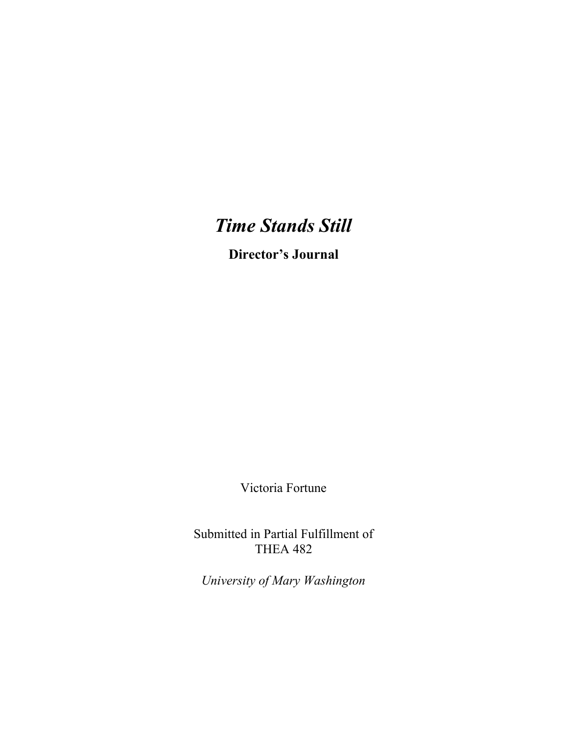# *Time Stands Still*

**Director's Journal**

Victoria Fortune

Submitted in Partial Fulfillment of THEA 482

*University of Mary Washington*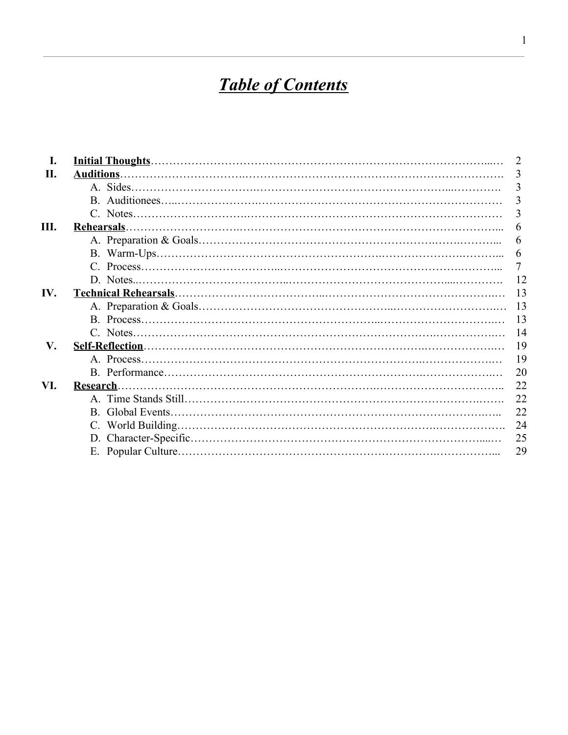# **Table of Contents**

| I.  |           |  | 2              |
|-----|-----------|--|----------------|
| II. |           |  | 3              |
|     |           |  | 3              |
|     |           |  | 3              |
|     |           |  | 3              |
| Ш.  |           |  | 6              |
|     |           |  | 6              |
|     |           |  | 6              |
|     |           |  | $\overline{7}$ |
|     |           |  | 12             |
| IV. |           |  | 13             |
|     |           |  | -13            |
|     |           |  | 13             |
|     |           |  | 14             |
| V.  |           |  | 19             |
|     |           |  | 19             |
|     |           |  | 20             |
| VI. | Research. |  | 22             |
|     |           |  | 22             |
|     |           |  | 22             |
|     |           |  | 24             |
|     |           |  | 25             |
|     |           |  | 29             |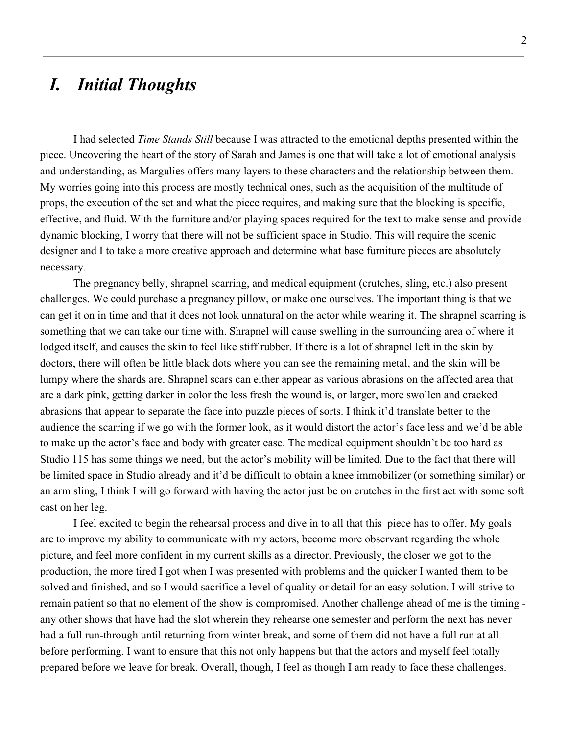## *I. Initial Thoughts*

I had selected *Time Stands Still* because I was attracted to the emotional depths presented within the piece. Uncovering the heart of the story of Sarah and James is one that will take a lot of emotional analysis and understanding, as Margulies offers many layers to these characters and the relationship between them. My worries going into this process are mostly technical ones, such as the acquisition of the multitude of props, the execution of the set and what the piece requires, and making sure that the blocking is specific, effective, and fluid. With the furniture and/or playing spaces required for the text to make sense and provide dynamic blocking, I worry that there will not be sufficient space in Studio. This will require the scenic designer and I to take a more creative approach and determine what base furniture pieces are absolutely necessary.

The pregnancy belly, shrapnel scarring, and medical equipment (crutches, sling, etc.) also present challenges. We could purchase a pregnancy pillow, or make one ourselves. The important thing is that we can get it on in time and that it does not look unnatural on the actor while wearing it. The shrapnel scarring is something that we can take our time with. Shrapnel will cause swelling in the surrounding area of where it lodged itself, and causes the skin to feel like stiff rubber. If there is a lot of shrapnel left in the skin by doctors, there will often be little black dots where you can see the remaining metal, and the skin will be lumpy where the shards are. Shrapnel scars can either appear as various abrasions on the affected area that are a dark pink, getting darker in color the less fresh the wound is, or larger, more swollen and cracked abrasions that appear to separate the face into puzzle pieces of sorts. I think it'd translate better to the audience the scarring if we go with the former look, as it would distort the actor's face less and we'd be able to make up the actor's face and body with greater ease. The medical equipment shouldn't be too hard as Studio 115 has some things we need, but the actor's mobility will be limited. Due to the fact that there will be limited space in Studio already and it'd be difficult to obtain a knee immobilizer (or something similar) or an arm sling, I think I will go forward with having the actor just be on crutches in the first act with some soft cast on her leg.

I feel excited to begin the rehearsal process and dive in to all that this piece has to offer. My goals are to improve my ability to communicate with my actors, become more observant regarding the whole picture, and feel more confident in my current skills as a director. Previously, the closer we got to the production, the more tired I got when I was presented with problems and the quicker I wanted them to be solved and finished, and so I would sacrifice a level of quality or detail for an easy solution. I will strive to remain patient so that no element of the show is compromised. Another challenge ahead of me is the timing any other shows that have had the slot wherein they rehearse one semester and perform the next has never had a full run-through until returning from winter break, and some of them did not have a full run at all before performing. I want to ensure that this not only happens but that the actors and myself feel totally prepared before we leave for break. Overall, though, I feel as though I am ready to face these challenges.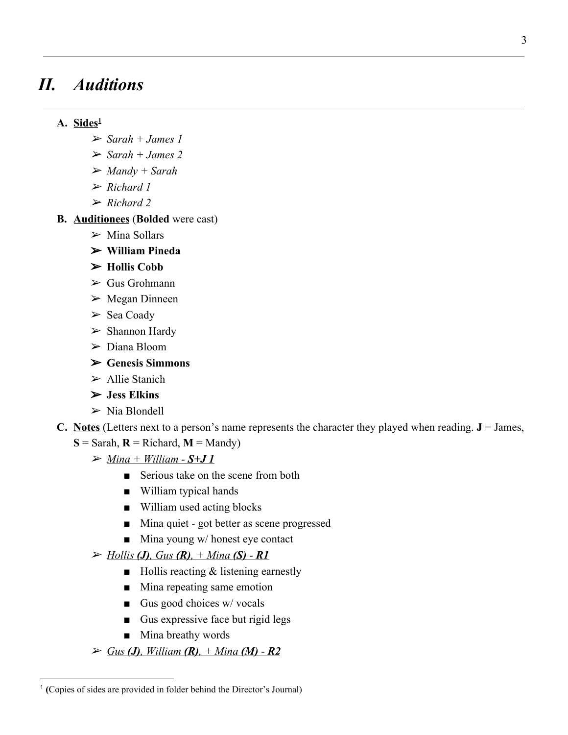# *II. Auditions*

### **A. Sides<sup>1</sup>**

- ➢ *Sarah + James 1*
- ➢ *Sarah + James 2*
- ➢ *Mandy + Sarah*
- ➢ *Richard 1*
- ➢ *Richard 2*
- **B. Auditionees** (**Bolded** were cast)
	- $\triangleright$  Mina Sollars
	- ➢ **William Pineda**
	- ➢ **Hollis Cobb**
	- $\triangleright$  Gus Grohmann
	- $\triangleright$  Megan Dinneen
	- $\triangleright$  Sea Coady
	- ➢ Shannon Hardy
	- ➢ Diana Bloom
	- ➢ **Genesis Simmons**
	- ➢ Allie Stanich
	- ➢ **Jess Elkins**
	- $\triangleright$  Nia Blondell
- **C. Notes** (Letters next to a person's name represents the character they played when reading.  $J = James$ ,
	- $S =$  Sarah,  $R =$  Richard,  $M =$  Mandy)
		- $\triangleright$  <u>Mina + William S+J 1</u>
			- Serious take on the scene from both
			- William typical hands
			- William used acting blocks
			- Mina quiet got better as scene progressed
			- $\blacksquare$  Mina young w/ honest eye contact
		- ➢ *Hollis (J), Gus (R), + Mina (S) R1*
			- Hollis reacting & listening earnestly
			- Mina repeating same emotion
			- $\Box$  Gus good choices w/ vocals
			- Gus expressive face but rigid legs
			- Mina breathy words
		- ➢ *Gus (J), William (R), + Mina (M) R2*

<sup>1</sup> **(**Copies of sides are provided in folder behind the Director's Journal)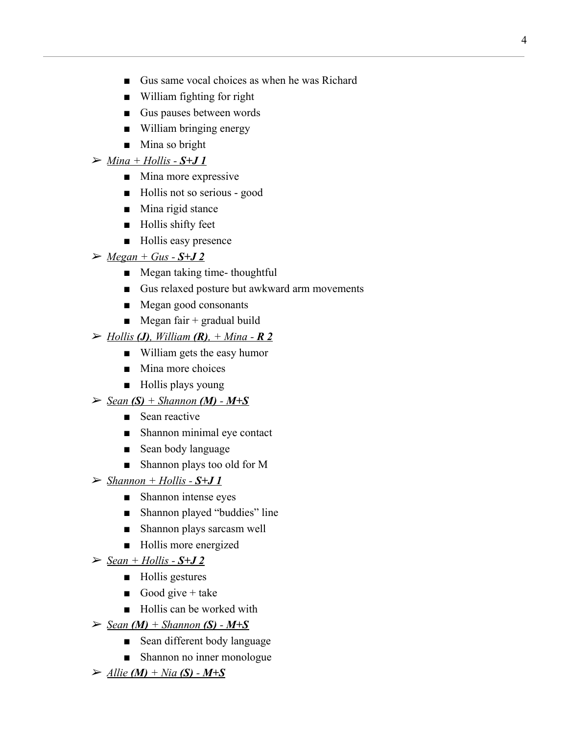- Gus same vocal choices as when he was Richard
- William fighting for right
- Gus pauses between words
- William bringing energy
- Mina so bright

#### $\triangleright$  <u>Mina + Hollis - S+J 1</u>

- Mina more expressive
- Hollis not so serious good
- Mina rigid stance
- Hollis shifty feet
- Hollis easy presence
- $\triangleright$  <u>Megan + Gus S+J 2</u>
	- Megan taking time- thoughtful
	- Gus relaxed posture but awkward arm movements
	- Megan good consonants
	- $\blacksquare$  Megan fair + gradual build

#### ➢ *Hollis (J), William (R), + Mina - R 2*

- William gets the easy humor
- Mina more choices
- Hollis plays young

#### $\triangleright$  <u>Sean  $(S)$  + Shannon  $(M)$  - M+S</u>

- Sean reactive
- Shannon minimal eye contact
- Sean body language
- Shannon plays too old for M
- $\triangleright$  *Shannon* + *Hollis S***+J1** 
	- Shannon intense eyes
	- Shannon played "buddies" line
	- Shannon plays sarcasm well
	- Hollis more energized
- $\triangleright$  <u>Sean + Hollis S+J 2</u>
	- Hollis gestures
	- Good give  $+$  take
	- Hollis can be worked with
- $\triangleright$  <u>Sean (M)</u> + Shannon **(S)** M+S
	- Sean different body language
	- Shannon no inner monologue
- ➢ *Allie (M) + Nia (S) M+S*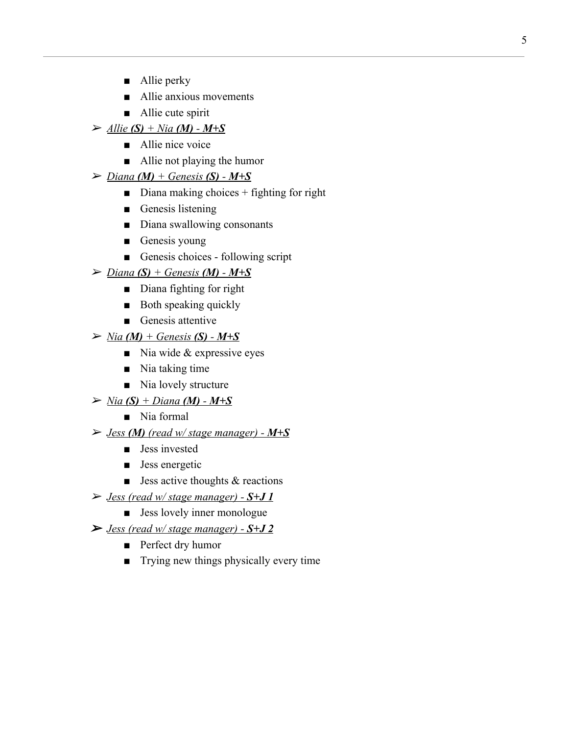- Allie perky
- Allie anxious movements
- Allie cute spirit
- $\triangleright$  <u>*Allie* (S) + Nia (M) M+S</u>
	- Allie nice voice
	- Allie not playing the humor
- $\triangleright$  *<u>Diana (M)</u>* + *Genesis* (S) *M*+S
	- $\blacksquare$  Diana making choices + fighting for right
	- Genesis listening
	- Diana swallowing consonants
	- Genesis young
	- Genesis choices following script
- $\triangleright$  *<u>Diana (S) + Genesis (M) M+S</u>* 
	- Diana fighting for right
	- Both speaking quickly
	- Genesis attentive
- $\triangleright$  *Nia* (*M*) + Genesis (*S*) *M*+*S* 
	- $\blacksquare$  Nia wide & expressive eyes
	- Nia taking time
	- Nia lovely structure
- $\triangleright$  *Nia* (S) + Diana (M) M+S
	- Nia formal
- ➢ *Jess (M) (read w/ stage manager) M+S*
	- Jess invested
	- Jess energetic
	- $\blacksquare$  Jess active thoughts & reactions
- ➢ *Jess (read w/ stage manager) S+J 1*
	- Jess lovely inner monologue
- ➢ *Jess (read w/ stage manager) S+J 2*
	- Perfect dry humor
	- Trying new things physically every time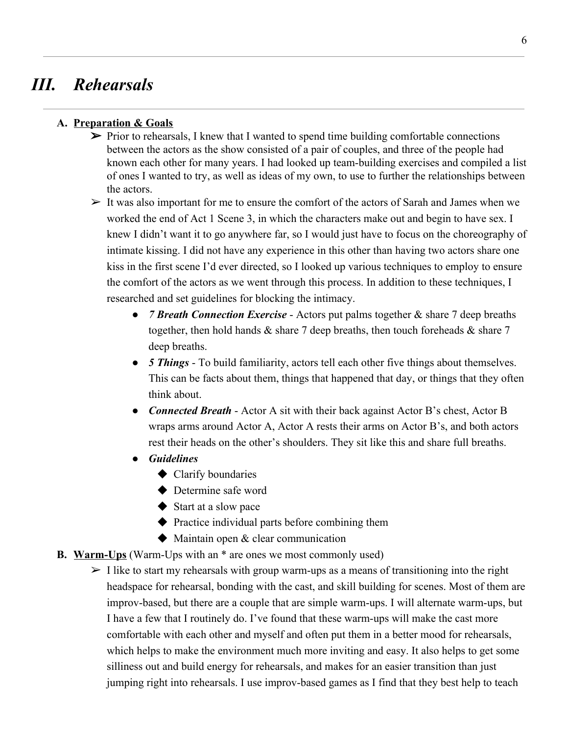# *III. Rehearsals*

### **A. Preparation & Goals**

- $\triangleright$  Prior to rehearsals, I knew that I wanted to spend time building comfortable connections between the actors as the show consisted of a pair of couples, and three of the people had known each other for many years. I had looked up team-building exercises and compiled a list of ones I wanted to try, as well as ideas of my own, to use to further the relationships between the actors.
- $\triangleright$  It was also important for me to ensure the comfort of the actors of Sarah and James when we worked the end of Act 1 Scene 3, in which the characters make out and begin to have sex. I knew I didn't want it to go anywhere far, so I would just have to focus on the choreography of intimate kissing. I did not have any experience in this other than having two actors share one kiss in the first scene I'd ever directed, so I looked up various techniques to employ to ensure the comfort of the actors as we went through this process. In addition to these techniques, I researched and set guidelines for blocking the intimacy.
	- *7 Breath Connection Exercise* Actors put palms together & share 7 deep breaths together, then hold hands & share 7 deep breaths, then touch foreheads & share 7 deep breaths.
	- *● 5 Things* To build familiarity, actors tell each other five things about themselves. This can be facts about them, things that happened that day, or things that they often think about.
	- *● Connected Breath* Actor A sit with their back against Actor B's chest, Actor B wraps arms around Actor A, Actor A rests their arms on Actor B's, and both actors rest their heads on the other's shoulders. They sit like this and share full breaths.
	- *● Guidelines*
		- ◆ Clarify boundaries
		- ◆ Determine safe word
		- ◆ Start at a slow pace
		- ◆ Practice individual parts before combining them
		- ◆ Maintain open & clear communication
- **B. Warm-Ups** (Warm-Ups with an \* are ones we most commonly used)
	- $\geq 1$  like to start my rehearsals with group warm-ups as a means of transitioning into the right headspace for rehearsal, bonding with the cast, and skill building for scenes. Most of them are improv-based, but there are a couple that are simple warm-ups. I will alternate warm-ups, but I have a few that I routinely do. I've found that these warm-ups will make the cast more comfortable with each other and myself and often put them in a better mood for rehearsals, which helps to make the environment much more inviting and easy. It also helps to get some silliness out and build energy for rehearsals, and makes for an easier transition than just jumping right into rehearsals. I use improv-based games as I find that they best help to teach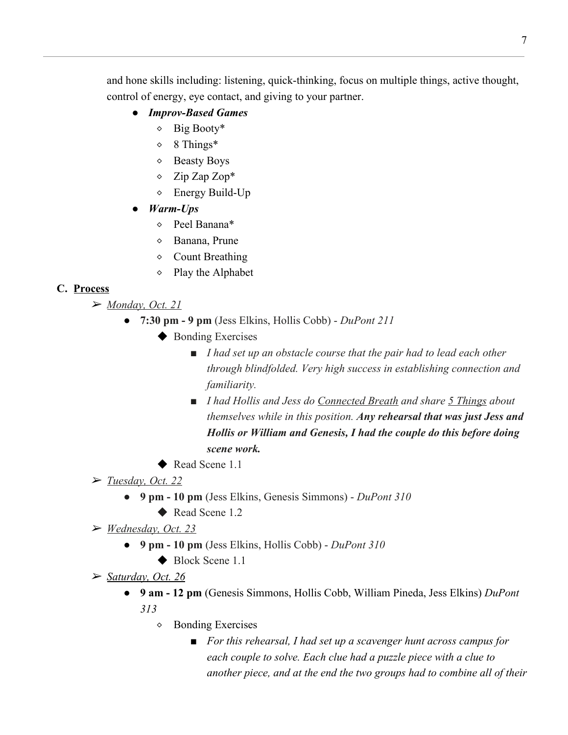and hone skills including: listening, quick-thinking, focus on multiple things, active thought, control of energy, eye contact, and giving to your partner.

- *● Improv-Based Games*
	- $\circ$  Big Booty\*
	- $\diamond$  8 Things\*
	- ⬥ Beasty Boys
	- ⬥ Zip Zap Zop\*
	- $\Diamond$  Energy Build-Up
- *● Warm-Ups*
	- ⬥ Peel Banana\*
	- ⬥ Banana, Prune
	- ◇ Count Breathing
	- $\Diamond$  Play the Alphabet

### **C. Process**

- ➢ *Monday, Oct. 21*
	- *●* **7:30 pm 9 pm** (Jess Elkins, Hollis Cobb) *DuPont 211*
		- ◆ Bonding Exercises
			- *■ I had set up an obstacle course that the pair had to lead each other through blindfolded. Very high success in establishing connection and familiarity.*
			- *■ I had Hollis and Jess do Connected Breath and share 5 Things about themselves while in this position. Any rehearsal that was just Jess and Hollis or William and Genesis, I had the couple do this before doing scene work.*
		- ◆ Read Scene 1.1
- ➢ *Tuesday, Oct. 22*
	- **9 pm 10 pm** (Jess Elkins, Genesis Simmons) *DuPont 310*
		- ◆ Read Scene 1.2
- ➢ *Wednesday, Oct. 23*
	- *●* **9 pm 10 pm** (Jess Elkins, Hollis Cobb) *DuPont 310*
		- ◆ Block Scene 1.1
- ➢ *Saturday, Oct. 26*
	- *●* **9 am 12 pm** (Genesis Simmons, Hollis Cobb, William Pineda, Jess Elkins) *DuPont 313*
		- ⬥ Bonding Exercises
			- *■ For this rehearsal, I had set up a scavenger hunt across campus for each couple to solve. Each clue had a puzzle piece with a clue to another piece, and at the end the two groups had to combine all of their*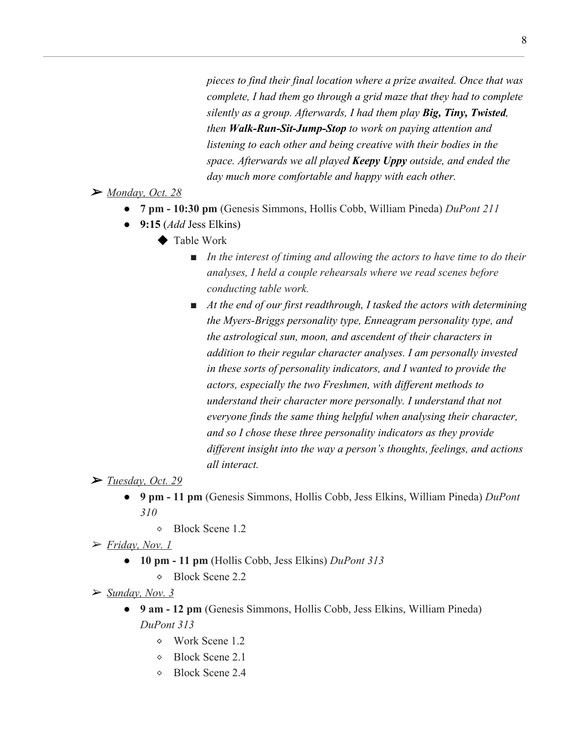*pieces to find their final location where a prize awaited. Once that was complete, I had them go through a grid maze that they had to complete silently as a group. Afterwards, I had them play Big, Tiny, Twisted, then Walk-Run-Sit-Jump-Stop to work on paying attention and listening to each other and being creative with their bodies in the space. Afterwards we all played Keepy Uppy outside, and ended the day much more comfortable and happy with each other.*

➢ *Monday, Oct. 28*

- **● 7 pm 10:30 pm** (Genesis Simmons, Hollis Cobb, William Pineda) *DuPont 211*
- **● 9:15** (*Add* Jess Elkins)
	- ◆ Table Work
		- *■ In the interest of timing and allowing the actors to have time to do their analyses, I held a couple rehearsals where we read scenes before conducting table work.*
		- *■ At the end of our first readthrough, I tasked the actors with determining the Myers-Briggs personality type, Enneagram personality type, and the astrological sun, moon, and ascendent of their characters in addition to their regular character analyses. I am personally invested in these sorts of personality indicators, and I wanted to provide the actors, especially the two Freshmen, with different methods to understand their character more personally. I understand that not everyone finds the same thing helpful when analysing their character, and so I chose these three personality indicators as they provide different insight into the way a person's thoughts, feelings, and actions all interact.*

➢ *Tuesday, Oct. 29*

- **● 9 pm 11 pm** (Genesis Simmons, Hollis Cobb, Jess Elkins, William Pineda) *DuPont 310*
	- ⬥ Block Scene 1.2

➢ *Friday, Nov. 1*

- **10 pm 11 pm** (Hollis Cobb, Jess Elkins) *DuPont 313*
	- ⬥ Block Scene 2.2

➢ *Sunday, Nov. 3*

- **9 am 12 pm** (Genesis Simmons, Hollis Cobb, Jess Elkins, William Pineda) *DuPont 313*
	- $\diamond$  Work Scene 1.2
	- ⬥ Block Scene 2.1
	- ⬥ Block Scene 2.4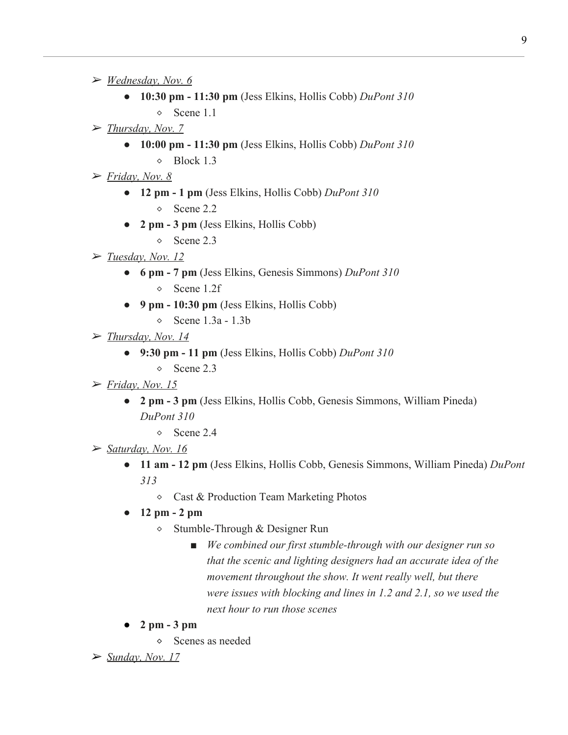- ➢ *Wednesday, Nov. 6*
	- **10:30 pm 11:30 pm** (Jess Elkins, Hollis Cobb) *DuPont 310*
		- ⬥ Scene 1.1
- ➢ *Thursday, Nov. 7*
	- **10:00 pm 11:30 pm** (Jess Elkins, Hollis Cobb) *DuPont 310*
		- $\lozenge$  Block 1.3
- ➢ *Friday, Nov. 8*
	- **12 pm 1 pm** (Jess Elkins, Hollis Cobb) *DuPont 310*
		- ⬥ Scene 2.2
	- **2 pm 3 pm** (Jess Elkins, Hollis Cobb)
		- ⬥ Scene 2.3
- ➢ *Tuesday, Nov. 12*
	- **6 pm 7 pm** (Jess Elkins, Genesis Simmons) *DuPont 310* ⬥ Scene 1.2f
	- **9 pm 10:30 pm** (Jess Elkins, Hollis Cobb)
		- $\circ$  Scene 1.3a 1.3b
- ➢ *Thursday, Nov. 14*
	- **9:30 pm 11 pm** (Jess Elkins, Hollis Cobb) *DuPont 310*
		- $\circ$  Scene 2.3
- ➢ *Friday, Nov. 15*
	- **2 pm 3 pm** (Jess Elkins, Hollis Cobb, Genesis Simmons, William Pineda) *DuPont 310*
		- $\circ$  Scene 2.4
- ➢ *Saturday, Nov. 16*
	- **11 am 12 pm** (Jess Elkins, Hollis Cobb, Genesis Simmons, William Pineda) *DuPont 313*
		- ⬥ Cast & Production Team Marketing Photos
	- **12 pm 2 pm**
		- ⬥ Stumble-Through & Designer Run
			- *■ We combined our first stumble-through with our designer run so that the scenic and lighting designers had an accurate idea of the movement throughout the show. It went really well, but there were issues with blocking and lines in 1.2 and 2.1, so we used the next hour to run those scenes*
	- **2 pm 3 pm**
		- ⬥ Scenes as needed
- ➢ *Sunday, Nov. 17*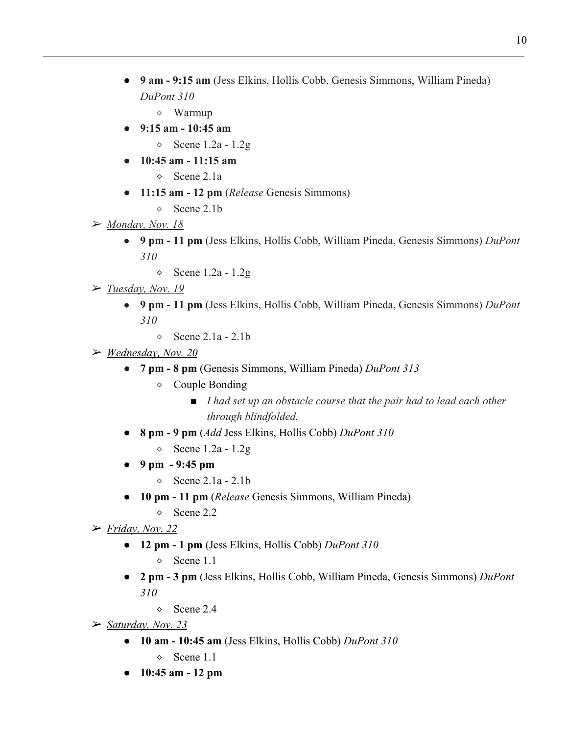- **9 am 9:15 am** (Jess Elkins, Hollis Cobb, Genesis Simmons, William Pineda) *DuPont 310*
	- ⬥ Warmup
- **9:15 am 10:45 am**
	- $\circ$  Scene 1.2a 1.2g
- **10:45 am 11:15 am**
	- ⬥ Scene 2.1a
- **11:15 am 12 pm** (*Release* Genesis Simmons)
	- ⬥ Scene 2.1b
- ➢ *Monday, Nov. 18*
	- **9 pm 11 pm** (Jess Elkins, Hollis Cobb, William Pineda, Genesis Simmons) *DuPont 310*
		- $\circ$  Scene 1.2a 1.2g
- ➢ *Tuesday, Nov. 19*
	- **9 pm 11 pm** (Jess Elkins, Hollis Cobb, William Pineda, Genesis Simmons) *DuPont 310*
		- $\circ$  Scene 2.1a 2.1b
- ➢ *Wednesday, Nov. 20*
	- **7 pm 8 pm** (Genesis Simmons, William Pineda) *DuPont 313*
		- $\Diamond$  Couple Bonding
			- *■ I had set up an obstacle course that the pair had to lead each other through blindfolded.*
	- **8 pm 9 pm** (*Add* Jess Elkins, Hollis Cobb) *DuPont 310*
		- $\circ$  Scene 1.2a 1.2g
	- **9 pm 9:45 pm**
		- $\circ$  Scene 2.1a 2.1b
	- **10 pm 11 pm** (*Release* Genesis Simmons, William Pineda)
		- ◇ Scene 2.2
- ➢ *Friday, Nov. 22*
	- **12 pm 1 pm** (Jess Elkins, Hollis Cobb) *DuPont 310*
		- $\circ$  Scene 1.1
	- **2 pm 3 pm** (Jess Elkins, Hollis Cobb, William Pineda, Genesis Simmons) *DuPont 310*
		- ⬥ Scene 2.4
- ➢ *Saturday, Nov. 23*
	- **10 am 10:45 am** (Jess Elkins, Hollis Cobb) *DuPont 310*  $\circ$  Scene 1.1
	- **10:45 am 12 pm**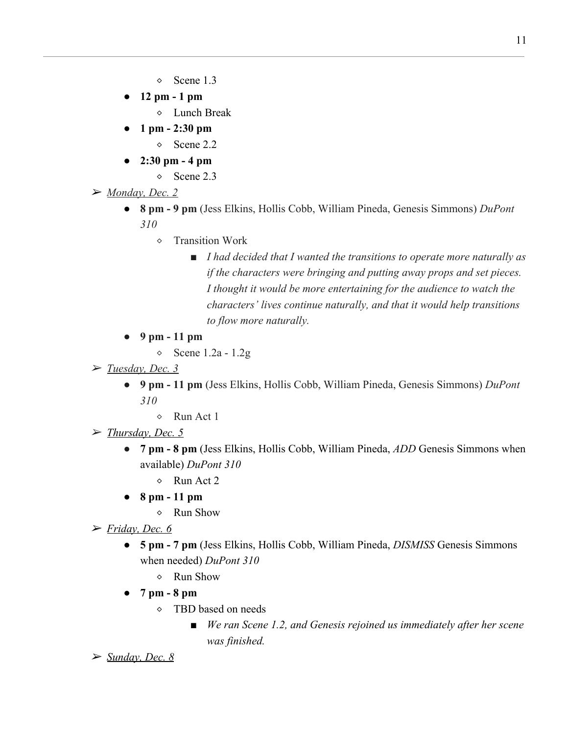- $\circ$  Scene 1.3
- **12 pm 1 pm**
	- ⬥ Lunch Break
- **1 pm 2:30 pm**
	- ⬥ Scene 2.2
- **2:30 pm 4 pm**
	- ⬥ Scene 2.3
- ➢ *Monday, Dec. 2*
	- **8 pm 9 pm** (Jess Elkins, Hollis Cobb, William Pineda, Genesis Simmons) *DuPont 310*
		- ⬥ Transition Work
			- *■ I had decided that I wanted the transitions to operate more naturally as if the characters were bringing and putting away props and set pieces. I thought it would be more entertaining for the audience to watch the characters' lives continue naturally, and that it would help transitions to flow more naturally.*
	- **9 pm 11 pm**
		- $\circ$  Scene 1.2a 1.2g
- ➢ *Tuesday, Dec. 3*
	- **9 pm 11 pm** (Jess Elkins, Hollis Cobb, William Pineda, Genesis Simmons) *DuPont 310*
		- $\Diamond$  Run Act 1
- ➢ *Thursday, Dec. 5*
	- **7 pm 8 pm** (Jess Elkins, Hollis Cobb, William Pineda, *ADD* Genesis Simmons when available) *DuPont 310*
		- $\lozenge$  Run Act 2
	- **8 pm 11 pm**
		- $\Diamond$  Run Show
- ➢ *Friday, Dec. 6*
	- **5 pm 7 pm** (Jess Elkins, Hollis Cobb, William Pineda, *DISMISS* Genesis Simmons when needed) *DuPont 310*
		- ⬥ Run Show
	- **7 pm 8 pm**
		- ⬥ TBD based on needs
			- *■ We ran Scene 1.2, and Genesis rejoined us immediately after her scene was finished.*
- ➢ *Sunday, Dec. 8*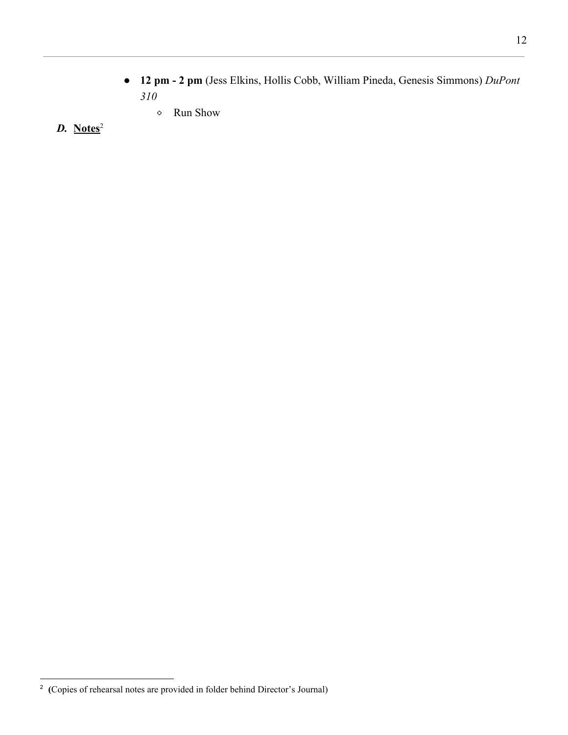- **12 pm 2 pm** (Jess Elkins, Hollis Cobb, William Pineda, Genesis Simmons) *DuPont 310*
	- ⬥ Run Show
- *D.* **Notes**<sup>2</sup>

<sup>2</sup> **(**Copies of rehearsal notes are provided in folder behind Director's Journal)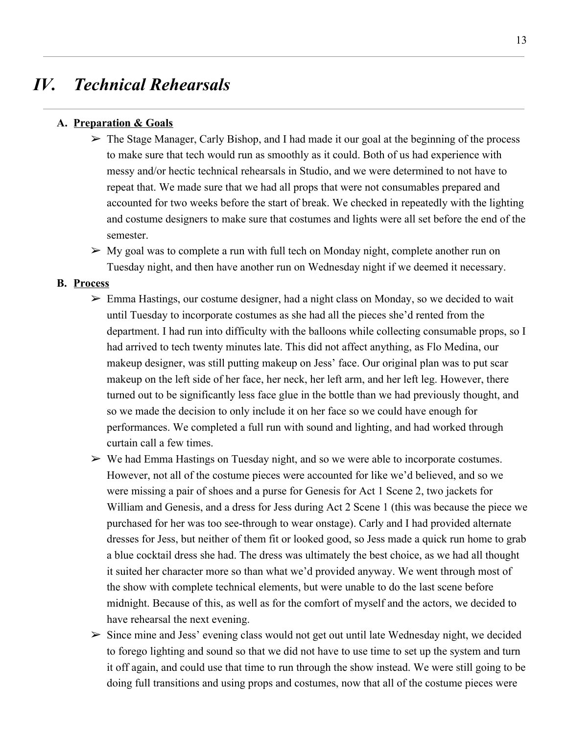## *IV. Technical Rehearsals*

#### **A. Preparation & Goals**

- $\triangleright$  The Stage Manager, Carly Bishop, and I had made it our goal at the beginning of the process to make sure that tech would run as smoothly as it could. Both of us had experience with messy and/or hectic technical rehearsals in Studio, and we were determined to not have to repeat that. We made sure that we had all props that were not consumables prepared and accounted for two weeks before the start of break. We checked in repeatedly with the lighting and costume designers to make sure that costumes and lights were all set before the end of the semester.
- $\triangleright$  My goal was to complete a run with full tech on Monday night, complete another run on Tuesday night, and then have another run on Wednesday night if we deemed it necessary.

#### **B. Process**

- $\triangleright$  Emma Hastings, our costume designer, had a night class on Monday, so we decided to wait until Tuesday to incorporate costumes as she had all the pieces she'd rented from the department. I had run into difficulty with the balloons while collecting consumable props, so I had arrived to tech twenty minutes late. This did not affect anything, as Flo Medina, our makeup designer, was still putting makeup on Jess' face. Our original plan was to put scar makeup on the left side of her face, her neck, her left arm, and her left leg. However, there turned out to be significantly less face glue in the bottle than we had previously thought, and so we made the decision to only include it on her face so we could have enough for performances. We completed a full run with sound and lighting, and had worked through curtain call a few times.
- $\triangleright$  We had Emma Hastings on Tuesday night, and so we were able to incorporate costumes. However, not all of the costume pieces were accounted for like we'd believed, and so we were missing a pair of shoes and a purse for Genesis for Act 1 Scene 2, two jackets for William and Genesis, and a dress for Jess during Act 2 Scene 1 (this was because the piece we purchased for her was too see-through to wear onstage). Carly and I had provided alternate dresses for Jess, but neither of them fit or looked good, so Jess made a quick run home to grab a blue cocktail dress she had. The dress was ultimately the best choice, as we had all thought it suited her character more so than what we'd provided anyway. We went through most of the show with complete technical elements, but were unable to do the last scene before midnight. Because of this, as well as for the comfort of myself and the actors, we decided to have rehearsal the next evening.
- $\triangleright$  Since mine and Jess' evening class would not get out until late Wednesday night, we decided to forego lighting and sound so that we did not have to use time to set up the system and turn it off again, and could use that time to run through the show instead. We were still going to be doing full transitions and using props and costumes, now that all of the costume pieces were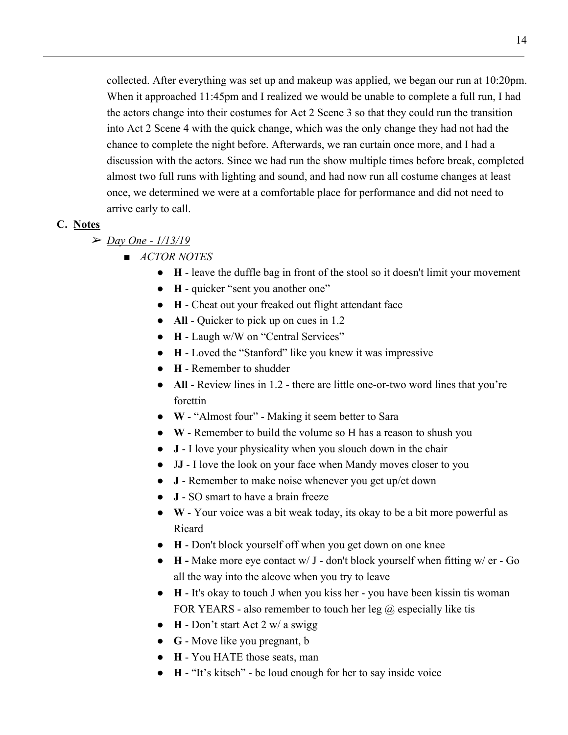collected. After everything was set up and makeup was applied, we began our run at 10:20pm. When it approached 11:45pm and I realized we would be unable to complete a full run, I had the actors change into their costumes for Act 2 Scene 3 so that they could run the transition into Act 2 Scene 4 with the quick change, which was the only change they had not had the chance to complete the night before. Afterwards, we ran curtain once more, and I had a discussion with the actors. Since we had run the show multiple times before break, completed almost two full runs with lighting and sound, and had now run all costume changes at least once, we determined we were at a comfortable place for performance and did not need to arrive early to call.

#### **C. Notes**

- ➢ *Day One 1/13/19*
	- *■ ACTOR NOTES*
		- **● H** leave the duffle bag in front of the stool so it doesn't limit your movement
		- **● H** quicker "sent you another one"
		- **● H** Cheat out your freaked out flight attendant face
		- **● All** Quicker to pick up on cues in 1.2
		- **● H** Laugh w/W on "Central Services"
		- **● H** Loved the "Stanford" like you knew it was impressive
		- **● H** Remember to shudder
		- **● All** Review lines in 1.2 there are little one-or-two word lines that you're forettin
		- **● W** "Almost four" Making it seem better to Sara
		- **● W**  Remember to build the volume so H has a reason to shush you
		- **● J** I love your physicality when you slouch down in the chair
		- J**J** I love the look on your face when Mandy moves closer to you
		- **● J** Remember to make noise whenever you get up/et down
		- **● J** SO smart to have a brain freeze
		- **● W** Your voice was a bit weak today, its okay to be a bit more powerful as Ricard
		- **● H** Don't block yourself off when you get down on one knee
		- **● H** Make more eye contact w/ J don't block yourself when fitting w/ er Go all the way into the alcove when you try to leave
		- **● H** It's okay to touch J when you kiss her you have been kissin tis woman FOR YEARS - also remember to touch her leg  $\omega$  especially like tis
		- **● H** Don't start Act 2 w/ a swigg
		- **● G** Move like you pregnant, b
		- **● H** You HATE those seats, man
		- **● H** "It's kitsch" be loud enough for her to say inside voice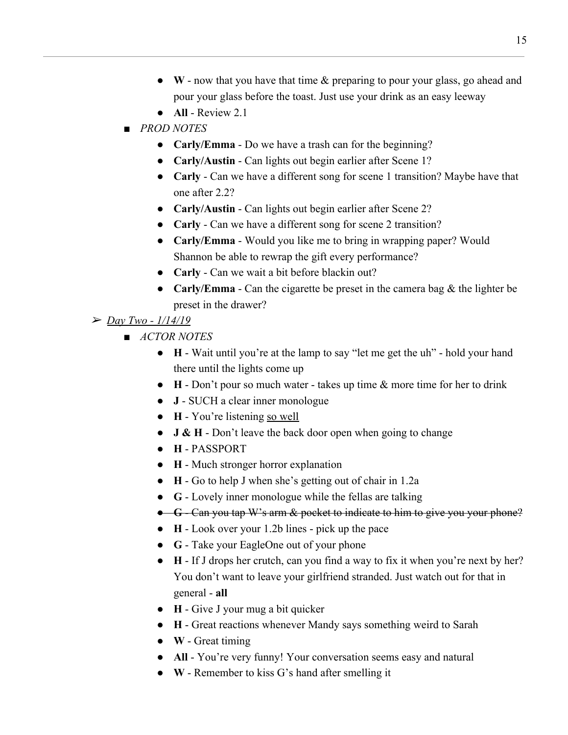- **● W** now that you have that time & preparing to pour your glass, go ahead and pour your glass before the toast. Just use your drink as an easy leeway
- **● All** Review 2.1
- *■ PROD NOTES*
	- **● Carly/Emma** Do we have a trash can for the beginning?
	- **● Carly/Austin** Can lights out begin earlier after Scene 1?
	- **● Carly** Can we have a different song for scene 1 transition? Maybe have that one after 2.2?
	- **● Carly/Austin** Can lights out begin earlier after Scene 2?
	- **Carly** Can we have a different song for scene 2 transition?
	- **● Carly/Emma** Would you like me to bring in wrapping paper? Would Shannon be able to rewrap the gift every performance?
	- **● Carly** Can we wait a bit before blackin out?
	- **● Carly/Emma** Can the cigarette be preset in the camera bag & the lighter be preset in the drawer?
- ➢ *Day Two 1/14/19*
	- *ACTOR NOTES*
		- **H** Wait until you're at the lamp to say "let me get the uh" hold your hand there until the lights come up
		- **H** Don't pour so much water takes up time & more time for her to drink
		- **● J** SUCH a clear inner monologue
		- **● H** You're listening so well
		- **● J & H** Don't leave the back door open when going to change
		- **● H** PASSPORT
		- **● H** Much stronger horror explanation
		- **● H** Go to help J when she's getting out of chair in 1.2a
		- **● G** Lovely inner monologue while the fellas are talking
		- **● G** Can you tap W's arm & pocket to indicate to him to give you your phone?
		- **● H** Look over your 1.2b lines pick up the pace
		- **● G** Take your EagleOne out of your phone
		- **● H** If J drops her crutch, can you find a way to fix it when you're next by her? You don't want to leave your girlfriend stranded. Just watch out for that in general - **all**
		- **● H** Give J your mug a bit quicker
		- **● H** Great reactions whenever Mandy says something weird to Sarah
		- **● W** Great timing
		- **● All** You're very funny! Your conversation seems easy and natural
		- **● W** Remember to kiss G's hand after smelling it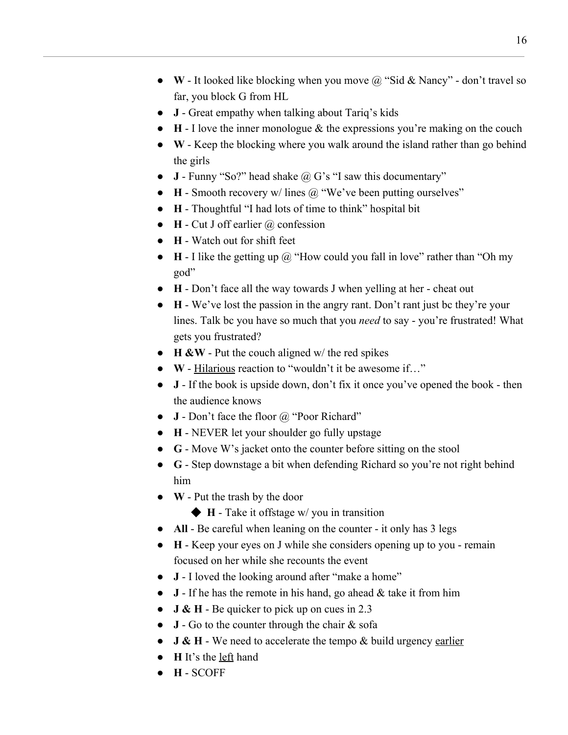- **● W** It looked like blocking when you move @ "Sid & Nancy" don't travel so far, you block G from HL
- **● J** Great empathy when talking about Tariq's kids
- **● H** I love the inner monologue & the expressions you're making on the couch
- **● W** Keep the blocking where you walk around the island rather than go behind the girls
- **● J** Funny "So?" head shake @ G's "I saw this documentary"
- **● H** Smooth recovery w/ lines @ "We've been putting ourselves"
- **● H** Thoughtful "I had lots of time to think" hospital bit
- **● H** Cut J off earlier @ confession
- **● H** Watch out for shift feet
- **● H** I like the getting up @ "How could you fall in love" rather than "Oh my god"
- **● H** Don't face all the way towards J when yelling at her cheat out
- **● H** We've lost the passion in the angry rant. Don't rant just bc they're your lines. Talk bc you have so much that you *need* to say - you're frustrated! What gets you frustrated?
- **● H &W** Put the couch aligned w/ the red spikes
- **● W** Hilarious reaction to "wouldn't it be awesome if…"
- **● J** If the book is upside down, don't fix it once you've opened the book then the audience knows
- **● J** Don't face the floor @ "Poor Richard"
- **● H** NEVER let your shoulder go fully upstage
- **● G** Move W's jacket onto the counter before sitting on the stool
- **● G** Step downstage a bit when defending Richard so you're not right behind him
- **● W** Put the trash by the door
	- ◆ **H** Take it offstage w/ you in transition
- **● All** Be careful when leaning on the counter it only has 3 legs
- **● H** Keep your eyes on J while she considers opening up to you remain focused on her while she recounts the event
- **● J** I loved the looking around after "make a home"
- **● J** If he has the remote in his hand, go ahead & take it from him
- **● J & H** Be quicker to pick up on cues in 2.3
- **● J** Go to the counter through the chair & sofa
- **J & H** We need to accelerate the tempo & build urgency earlier
- **● H** It's the left hand
- **● H** SCOFF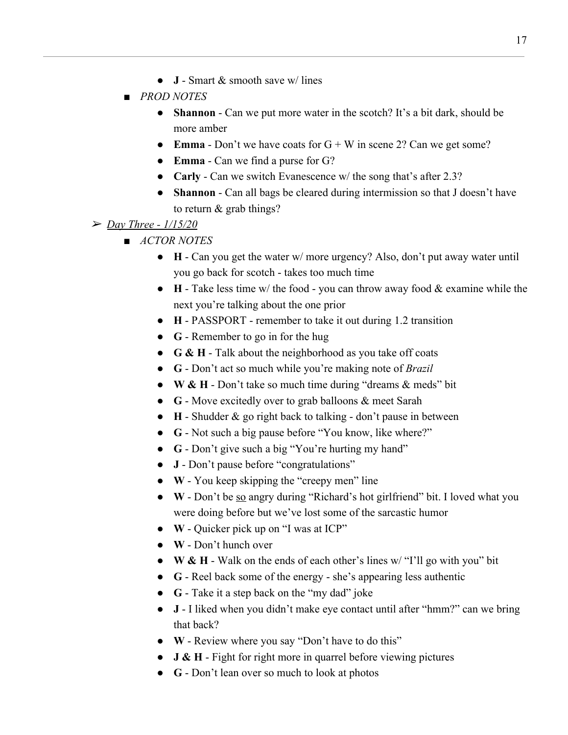- **● J** Smart & smooth save w/ lines
- *■ PROD NOTES*
	- **Shannon** Can we put more water in the scotch? It's a bit dark, should be more amber
	- **● Emma** Don't we have coats for G + W in scene 2? Can we get some?
	- **● Emma** Can we find a purse for G?
	- **● Carly** Can we switch Evanescence w/ the song that's after 2.3?
	- **● Shannon** Can all bags be cleared during intermission so that J doesn't have to return & grab things?

### ➢ *Day Three - 1/15/20*

- *■ ACTOR NOTES*
	- **● H** Can you get the water w/ more urgency? Also, don't put away water until you go back for scotch - takes too much time
	- **● H** Take less time w/ the food you can throw away food & examine while the next you're talking about the one prior
	- **● H** PASSPORT remember to take it out during 1.2 transition
	- **● G** Remember to go in for the hug
	- **● G & H** Talk about the neighborhood as you take off coats
	- **● G** Don't act so much while you're making note of *Brazil*
	- **● W & H** Don't take so much time during "dreams & meds" bit
	- **● G** Move excitedly over to grab balloons & meet Sarah
	- **● H** Shudder & go right back to talking don't pause in between
	- **● G** Not such a big pause before "You know, like where?"
	- **● G** Don't give such a big "You're hurting my hand"
	- **● J** Don't pause before "congratulations"
	- **● W** You keep skipping the "creepy men" line
	- **● W** Don't be so angry during "Richard's hot girlfriend" bit. I loved what you were doing before but we've lost some of the sarcastic humor
	- **● W** Quicker pick up on "I was at ICP"
	- **● W** Don't hunch over
	- **● W & H** Walk on the ends of each other's lines w/ "I'll go with you" bit
	- **● G** Reel back some of the energy she's appearing less authentic
	- **● G** Take it a step back on the "my dad" joke
	- **● J** I liked when you didn't make eye contact until after "hmm?" can we bring that back?
	- **● W** Review where you say "Don't have to do this"
	- **● J & H** Fight for right more in quarrel before viewing pictures
	- **● G** Don't lean over so much to look at photos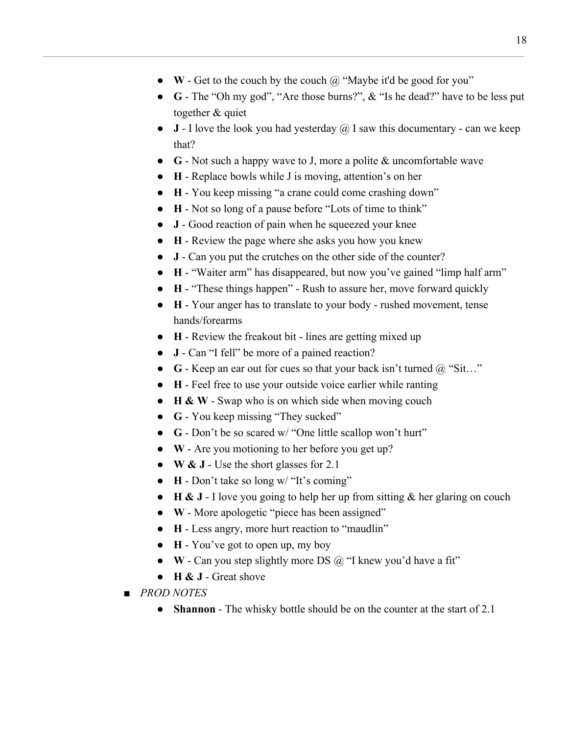- **● W** Get to the couch by the couch @ "Maybe it'd be good for you"
- **● G** The "Oh my god", "Are those burns?", & "Is he dead?" have to be less put together & quiet
- **● J** I love the look you had yesterday @ I saw this documentary can we keep that?
- **● G** Not such a happy wave to J, more a polite & uncomfortable wave
- **● H** Replace bowls while J is moving, attention's on her
- **● H** You keep missing "a crane could come crashing down"
- **● H** Not so long of a pause before "Lots of time to think"
- **● J** Good reaction of pain when he squeezed your knee
- **● H** Review the page where she asks you how you knew
- **● J** Can you put the crutches on the other side of the counter?
- **● H** "Waiter arm" has disappeared, but now you've gained "limp half arm"
- **● H** "These things happen" Rush to assure her, move forward quickly
- **● H** Your anger has to translate to your body rushed movement, tense hands/forearms
- **● H** Review the freakout bit lines are getting mixed up
- **● J** Can "I fell" be more of a pained reaction?
- **G** Keep an ear out for cues so that your back isn't turned @ "Sit..."
- **● H** Feel free to use your outside voice earlier while ranting
- **● H & W** Swap who is on which side when moving couch
- **● G** You keep missing "They sucked"
- **● G** Don't be so scared w/ "One little scallop won't hurt"
- **● W** Are you motioning to her before you get up?
- **● W & J** Use the short glasses for 2.1
- **● H** Don't take so long w/ "It's coming"
- **● H & J** I love you going to help her up from sitting & her glaring on couch
- **● W** More apologetic "piece has been assigned"
- **● H** Less angry, more hurt reaction to "maudlin"
- **● H** You've got to open up, my boy
- **● W** Can you step slightly more DS @ "I knew you'd have a fit"
- **● H & J** Great shove
- *■ PROD NOTES*
	- **● Shannon** The whisky bottle should be on the counter at the start of 2.1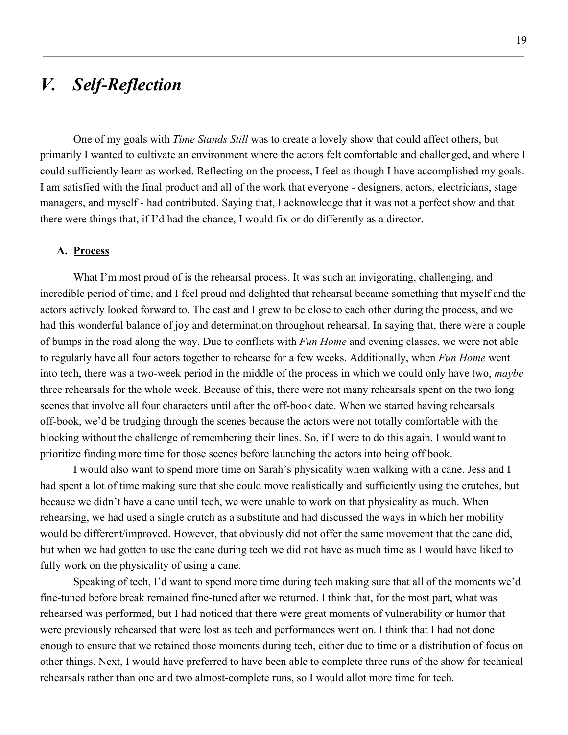# *V. Self-Reflection*

One of my goals with *Time Stands Still* was to create a lovely show that could affect others, but primarily I wanted to cultivate an environment where the actors felt comfortable and challenged, and where I could sufficiently learn as worked. Reflecting on the process, I feel as though I have accomplished my goals. I am satisfied with the final product and all of the work that everyone - designers, actors, electricians, stage managers, and myself - had contributed. Saying that, I acknowledge that it was not a perfect show and that there were things that, if I'd had the chance, I would fix or do differently as a director.

#### **A. Process**

What I'm most proud of is the rehearsal process. It was such an invigorating, challenging, and incredible period of time, and I feel proud and delighted that rehearsal became something that myself and the actors actively looked forward to. The cast and I grew to be close to each other during the process, and we had this wonderful balance of joy and determination throughout rehearsal. In saying that, there were a couple of bumps in the road along the way. Due to conflicts with *Fun Home* and evening classes, we were not able to regularly have all four actors together to rehearse for a few weeks. Additionally, when *Fun Home* went into tech, there was a two-week period in the middle of the process in which we could only have two, *maybe* three rehearsals for the whole week. Because of this, there were not many rehearsals spent on the two long scenes that involve all four characters until after the off-book date. When we started having rehearsals off-book, we'd be trudging through the scenes because the actors were not totally comfortable with the blocking without the challenge of remembering their lines. So, if I were to do this again, I would want to prioritize finding more time for those scenes before launching the actors into being off book.

I would also want to spend more time on Sarah's physicality when walking with a cane. Jess and I had spent a lot of time making sure that she could move realistically and sufficiently using the crutches, but because we didn't have a cane until tech, we were unable to work on that physicality as much. When rehearsing, we had used a single crutch as a substitute and had discussed the ways in which her mobility would be different/improved. However, that obviously did not offer the same movement that the cane did, but when we had gotten to use the cane during tech we did not have as much time as I would have liked to fully work on the physicality of using a cane.

Speaking of tech, I'd want to spend more time during tech making sure that all of the moments we'd fine-tuned before break remained fine-tuned after we returned. I think that, for the most part, what was rehearsed was performed, but I had noticed that there were great moments of vulnerability or humor that were previously rehearsed that were lost as tech and performances went on. I think that I had not done enough to ensure that we retained those moments during tech, either due to time or a distribution of focus on other things. Next, I would have preferred to have been able to complete three runs of the show for technical rehearsals rather than one and two almost-complete runs, so I would allot more time for tech.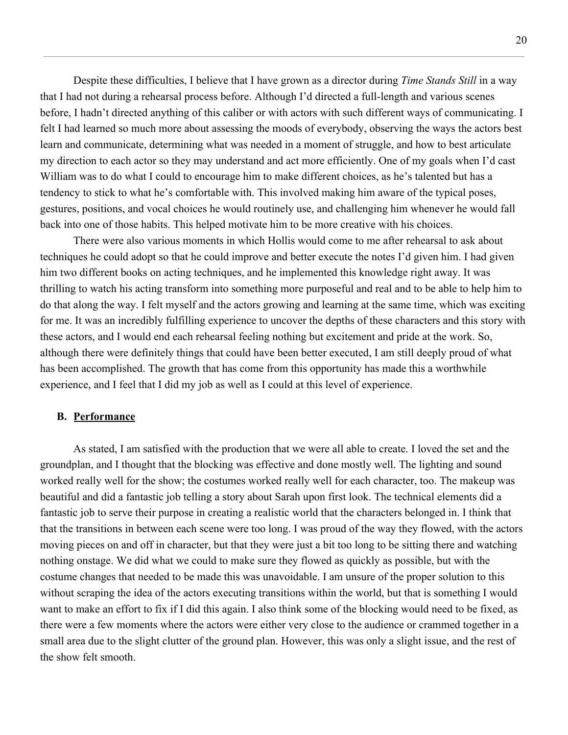Despite these difficulties, I believe that I have grown as a director during *Time Stands Still* in a way that I had not during a rehearsal process before. Although I'd directed a full-length and various scenes before, I hadn't directed anything of this caliber or with actors with such different ways of communicating. I felt I had learned so much more about assessing the moods of everybody, observing the ways the actors best learn and communicate, determining what was needed in a moment of struggle, and how to best articulate my direction to each actor so they may understand and act more efficiently. One of my goals when I'd cast William was to do what I could to encourage him to make different choices, as he's talented but has a tendency to stick to what he's comfortable with. This involved making him aware of the typical poses, gestures, positions, and vocal choices he would routinely use, and challenging him whenever he would fall back into one of those habits. This helped motivate him to be more creative with his choices.

There were also various moments in which Hollis would come to me after rehearsal to ask about techniques he could adopt so that he could improve and better execute the notes I'd given him. I had given him two different books on acting techniques, and he implemented this knowledge right away. It was thrilling to watch his acting transform into something more purposeful and real and to be able to help him to do that along the way. I felt myself and the actors growing and learning at the same time, which was exciting for me. It was an incredibly fulfilling experience to uncover the depths of these characters and this story with these actors, and I would end each rehearsal feeling nothing but excitement and pride at the work. So, although there were definitely things that could have been better executed, I am still deeply proud of what has been accomplished. The growth that has come from this opportunity has made this a worthwhile experience, and I feel that I did my job as well as I could at this level of experience.

#### **B. Performance**

As stated, I am satisfied with the production that we were all able to create. I loved the set and the groundplan, and I thought that the blocking was effective and done mostly well. The lighting and sound worked really well for the show; the costumes worked really well for each character, too. The makeup was beautiful and did a fantastic job telling a story about Sarah upon first look. The technical elements did a fantastic job to serve their purpose in creating a realistic world that the characters belonged in. I think that that the transitions in between each scene were too long. I was proud of the way they flowed, with the actors moving pieces on and off in character, but that they were just a bit too long to be sitting there and watching nothing onstage. We did what we could to make sure they flowed as quickly as possible, but with the costume changes that needed to be made this was unavoidable. I am unsure of the proper solution to this without scraping the idea of the actors executing transitions within the world, but that is something I would want to make an effort to fix if I did this again. I also think some of the blocking would need to be fixed, as there were a few moments where the actors were either very close to the audience or crammed together in a small area due to the slight clutter of the ground plan. However, this was only a slight issue, and the rest of the show felt smooth.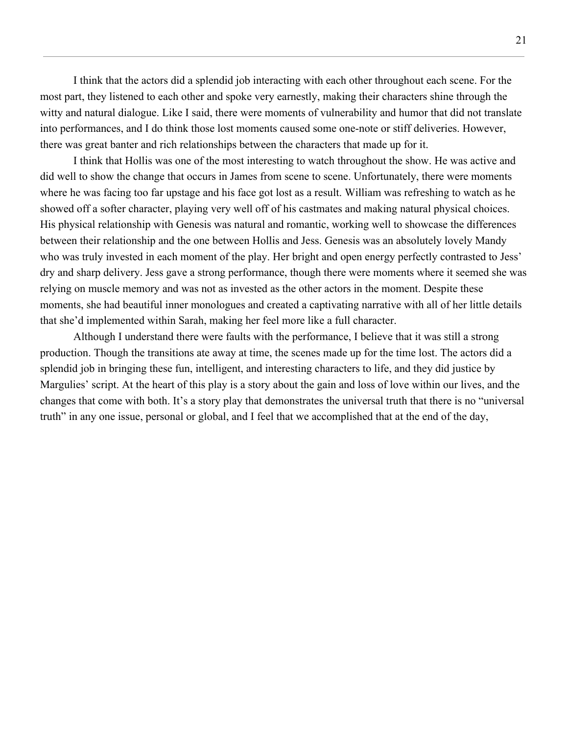I think that the actors did a splendid job interacting with each other throughout each scene. For the most part, they listened to each other and spoke very earnestly, making their characters shine through the witty and natural dialogue. Like I said, there were moments of vulnerability and humor that did not translate into performances, and I do think those lost moments caused some one-note or stiff deliveries. However, there was great banter and rich relationships between the characters that made up for it.

I think that Hollis was one of the most interesting to watch throughout the show. He was active and did well to show the change that occurs in James from scene to scene. Unfortunately, there were moments where he was facing too far upstage and his face got lost as a result. William was refreshing to watch as he showed off a softer character, playing very well off of his castmates and making natural physical choices. His physical relationship with Genesis was natural and romantic, working well to showcase the differences between their relationship and the one between Hollis and Jess. Genesis was an absolutely lovely Mandy who was truly invested in each moment of the play. Her bright and open energy perfectly contrasted to Jess' dry and sharp delivery. Jess gave a strong performance, though there were moments where it seemed she was relying on muscle memory and was not as invested as the other actors in the moment. Despite these moments, she had beautiful inner monologues and created a captivating narrative with all of her little details that she'd implemented within Sarah, making her feel more like a full character.

Although I understand there were faults with the performance, I believe that it was still a strong production. Though the transitions ate away at time, the scenes made up for the time lost. The actors did a splendid job in bringing these fun, intelligent, and interesting characters to life, and they did justice by Margulies' script. At the heart of this play is a story about the gain and loss of love within our lives, and the changes that come with both. It's a story play that demonstrates the universal truth that there is no "universal truth" in any one issue, personal or global, and I feel that we accomplished that at the end of the day,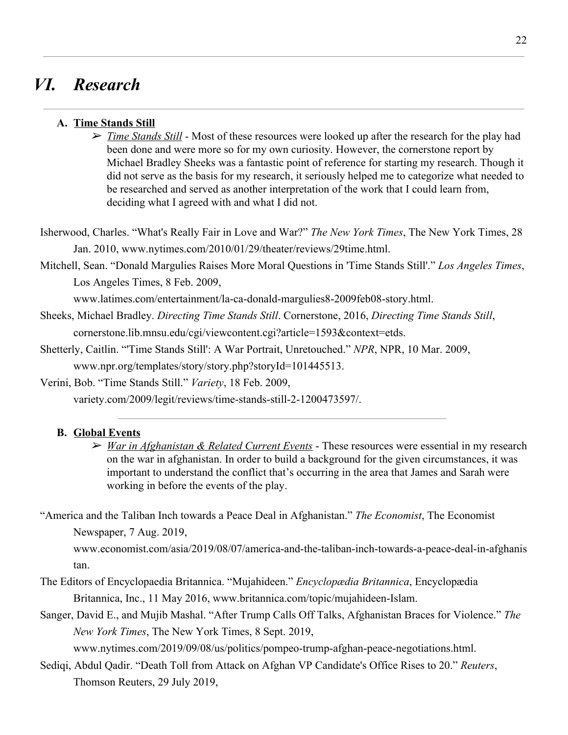### *VI. Research*

#### **A. Time Stands Still**

➢ *Time Stands Still* - Most of these resources were looked up after the research for the play had been done and were more so for my own curiosity. However, the cornerstone report by Michael Bradley Sheeks was a fantastic point of reference for starting my research. Though it did not serve as the basis for my research, it seriously helped me to categorize what needed to be researched and served as another interpretation of the work that I could learn from, deciding what I agreed with and what I did not.

Isherwood, Charles. "What's Really Fair in Love and War?" *The New York Times*, The New York Times, 28 Jan. 2010, www.nytimes.com/2010/01/29/theater/reviews/29time.html.

Mitchell, Sean. "Donald Margulies Raises More Moral Questions in 'Time Stands Still'." *Los Angeles Times*, Los Angeles Times, 8 Feb. 2009,

www.latimes.com/entertainment/la-ca-donald-margulies8-2009feb08-story.html.

- Sheeks, Michael Bradley. *Directing Time Stands Still*. Cornerstone, 2016, *Directing Time Stands Still*, cornerstone.lib.mnsu.edu/cgi/viewcontent.cgi?article=1593&context=etds.
- Shetterly, Caitlin. "'Time Stands Still': A War Portrait, Unretouched." *NPR*, NPR, 10 Mar. 2009, www.npr.org/templates/story/story.php?storyId=101445513.

Verini, Bob. "Time Stands Still." *Variety*, 18 Feb. 2009,

variety.com/2009/legit/reviews/time-stands-still-2-1200473597/.

#### **B. Global Events**

➢ *War in Afghanistan & Related Current Events* - These resources were essential in my research on the war in afghanistan. In order to build a background for the given circumstances, it was important to understand the conflict that's occurring in the area that James and Sarah were working in before the events of the play.

"America and the Taliban Inch towards a Peace Deal in Afghanistan." *The Economist*, The Economist Newspaper, 7 Aug. 2019,

www.economist.com/asia/2019/08/07/america-and-the-taliban-inch-towards-a-peace-deal-in-afghanis tan.

- The Editors of Encyclopaedia Britannica. "Mujahideen." *Encyclopædia Britannica*, Encyclopædia Britannica, Inc., 11 May 2016, www.britannica.com/topic/mujahideen-Islam.
- Sanger, David E., and Mujib Mashal. "After Trump Calls Off Talks, Afghanistan Braces for Violence." *The New York Times*, The New York Times, 8 Sept. 2019,

www.nytimes.com/2019/09/08/us/politics/pompeo-trump-afghan-peace-negotiations.html.

Sediqi, Abdul Qadir. "Death Toll from Attack on Afghan VP Candidate's Office Rises to 20." *Reuters*, Thomson Reuters, 29 July 2019,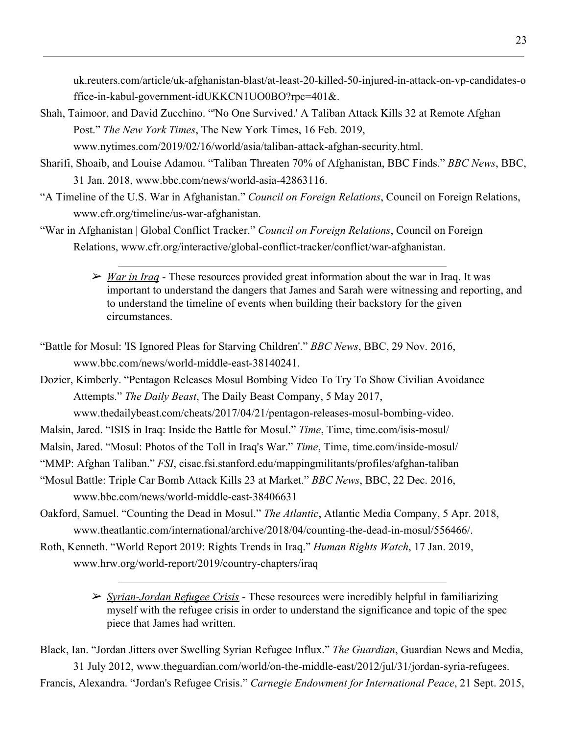uk.reuters.com/article/uk-afghanistan-blast/at-least-20-killed-50-injured-in-attack-on-vp-candidates-o ffice-in-kabul-government-idUKKCN1UO0BO?rpc=401&.

- Shah, Taimoor, and David Zucchino. "'No One Survived.' A Taliban Attack Kills 32 at Remote Afghan Post." *The New York Times*, The New York Times, 16 Feb. 2019, www.nytimes.com/2019/02/16/world/asia/taliban-attack-afghan-security.html.
- Sharifi, Shoaib, and Louise Adamou. "Taliban Threaten 70% of Afghanistan, BBC Finds." *BBC News*, BBC, 31 Jan. 2018, www.bbc.com/news/world-asia-42863116.
- "A Timeline of the U.S. War in Afghanistan." *Council on Foreign Relations*, Council on Foreign Relations, www.cfr.org/timeline/us-war-afghanistan.
- "War in Afghanistan | Global Conflict Tracker." *Council on Foreign Relations*, Council on Foreign Relations, www.cfr.org/interactive/global-conflict-tracker/conflict/war-afghanistan.
	- ➢ *War in Iraq* These resources provided great information about the war in Iraq. It was important to understand the dangers that James and Sarah were witnessing and reporting, and to understand the timeline of events when building their backstory for the given circumstances.
- "Battle for Mosul: 'IS Ignored Pleas for Starving Children'." *BBC News*, BBC, 29 Nov. 2016, www.bbc.com/news/world-middle-east-38140241.
- Dozier, Kimberly. "Pentagon Releases Mosul Bombing Video To Try To Show Civilian Avoidance Attempts." *The Daily Beast*, The Daily Beast Company, 5 May 2017, www.thedailybeast.com/cheats/2017/04/21/pentagon-releases-mosul-bombing-video.
- Malsin, Jared. "ISIS in Iraq: Inside the Battle for Mosul." *Time*, Time, time.com/isis-mosul/
- Malsin, Jared. "Mosul: Photos of the Toll in Iraq's War." *Time*, Time, time.com/inside-mosul/
- "MMP: Afghan Taliban." *FSI*, cisac.fsi.stanford.edu/mappingmilitants/profiles/afghan-taliban
- "Mosul Battle: Triple Car Bomb Attack Kills 23 at Market." *BBC News*, BBC, 22 Dec. 2016, www.bbc.com/news/world-middle-east-38406631
- Oakford, Samuel. "Counting the Dead in Mosul." *The Atlantic*, Atlantic Media Company, 5 Apr. 2018, www.theatlantic.com/international/archive/2018/04/counting-the-dead-in-mosul/556466/.
- Roth, Kenneth. "World Report 2019: Rights Trends in Iraq." *Human Rights Watch*, 17 Jan. 2019, www.hrw.org/world-report/2019/country-chapters/iraq
	- ➢ *Syrian-Jordan Refugee Crisis* These resources were incredibly helpful in familiarizing myself with the refugee crisis in order to understand the significance and topic of the spec piece that James had written.

Black, Ian. "Jordan Jitters over Swelling Syrian Refugee Influx." *The Guardian*, Guardian News and Media, 31 July 2012, www.theguardian.com/world/on-the-middle-east/2012/jul/31/jordan-syria-refugees. Francis, Alexandra. "Jordan's Refugee Crisis." *Carnegie Endowment for International Peace*, 21 Sept. 2015,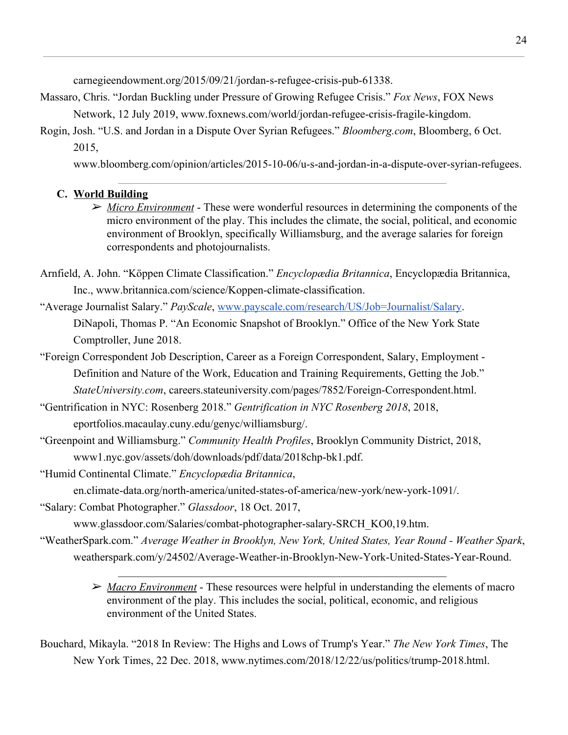carnegieendowment.org/2015/09/21/jordan-s-refugee-crisis-pub-61338.

- Massaro, Chris. "Jordan Buckling under Pressure of Growing Refugee Crisis." *Fox News*, FOX News Network, 12 July 2019, www.foxnews.com/world/jordan-refugee-crisis-fragile-kingdom.
- Rogin, Josh. "U.S. and Jordan in a Dispute Over Syrian Refugees." *Bloomberg.com*, Bloomberg, 6 Oct. 2015,

www.bloomberg.com/opinion/articles/2015-10-06/u-s-and-jordan-in-a-dispute-over-syrian-refugees.

### **C. World Building**

- ➢ *Micro Environment* These were wonderful resources in determining the components of the micro environment of the play. This includes the climate, the social, political, and economic environment of Brooklyn, specifically Williamsburg, and the average salaries for foreign correspondents and photojournalists.
- Arnfield, A. John. "Köppen Climate Classification." *Encyclopædia Britannica*, Encyclopædia Britannica, Inc., www.britannica.com/science/Koppen-climate-classification.
- "Average Journalist Salary." *PayScale*, [www.payscale.com/research/US/Job=Journalist/Salary.](http://www.payscale.com/research/US/Job=Journalist/Salary) DiNapoli, Thomas P. "An Economic Snapshot of Brooklyn." Office of the New York State Comptroller, June 2018.
- "Foreign Correspondent Job Description, Career as a Foreign Correspondent, Salary, Employment Definition and Nature of the Work, Education and Training Requirements, Getting the Job." *StateUniversity.com*, careers.stateuniversity.com/pages/7852/Foreign-Correspondent.html.
- "Gentrification in NYC: Rosenberg 2018." *Gentrification in NYC Rosenberg 2018*, 2018, eportfolios.macaulay.cuny.edu/genyc/williamsburg/.
- "Greenpoint and Williamsburg." *Community Health Profiles*, Brooklyn Community District, 2018, www1.nyc.gov/assets/doh/downloads/pdf/data/2018chp-bk1.pdf.
- "Humid Continental Climate." *Encyclopædia Britannica*,

en.climate-data.org/north-america/united-states-of-america/new-york/new-york-1091/.

"Salary: Combat Photographer." *Glassdoor*, 18 Oct. 2017,

www.glassdoor.com/Salaries/combat-photographer-salary-SRCH\_KO0,19.htm.

- "WeatherSpark.com." *Average Weather in Brooklyn, New York, United States, Year Round Weather Spark*, weatherspark.com/y/24502/Average-Weather-in-Brooklyn-New-York-United-States-Year-Round.
	- ➢ *Macro Environment* These resources were helpful in understanding the elements of macro environment of the play. This includes the social, political, economic, and religious environment of the United States.
- Bouchard, Mikayla. "2018 In Review: The Highs and Lows of Trump's Year." *The New York Times*, The New York Times, 22 Dec. 2018, www.nytimes.com/2018/12/22/us/politics/trump-2018.html.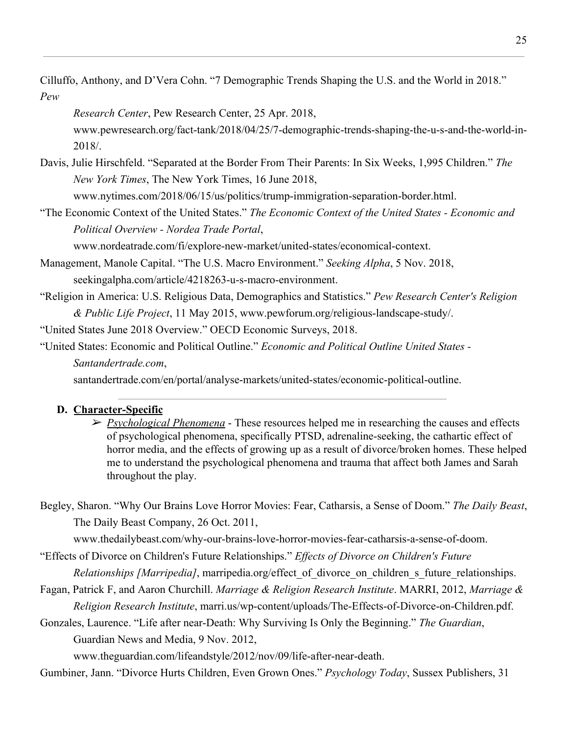Cilluffo, Anthony, and D'Vera Cohn. "7 Demographic Trends Shaping the U.S. and the World in 2018." *Pew*

*Research Center*, Pew Research Center, 25 Apr. 2018, www.pewresearch.org/fact-tank/2018/04/25/7-demographic-trends-shaping-the-u-s-and-the-world-in-2018/.

Davis, Julie Hirschfeld. "Separated at the Border From Their Parents: In Six Weeks, 1,995 Children." *The New York Times*, The New York Times, 16 June 2018,

www.nytimes.com/2018/06/15/us/politics/trump-immigration-separation-border.html.

"The Economic Context of the United States." *The Economic Context of the United States - Economic and Political Overview - Nordea Trade Portal*,

www.nordeatrade.com/fi/explore-new-market/united-states/economical-context.

- Management, Manole Capital. "The U.S. Macro Environment." *Seeking Alpha*, 5 Nov. 2018, seekingalpha.com/article/4218263-u-s-macro-environment.
- "Religion in America: U.S. Religious Data, Demographics and Statistics." *Pew Research Center's Religion & Public Life Project*, 11 May 2015, www.pewforum.org/religious-landscape-study/.

"United States June 2018 Overview." OECD Economic Surveys, 2018.

"United States: Economic and Political Outline." *Economic and Political Outline United States - Santandertrade.com*,

santandertrade.com/en/portal/analyse-markets/united-states/economic-political-outline.

#### **D. Character-Specific**

- ➢ *Psychological Phenomena* These resources helped me in researching the causes and effects of psychological phenomena, specifically PTSD, adrenaline-seeking, the cathartic effect of horror media, and the effects of growing up as a result of divorce/broken homes. These helped me to understand the psychological phenomena and trauma that affect both James and Sarah throughout the play.
- Begley, Sharon. "Why Our Brains Love Horror Movies: Fear, Catharsis, a Sense of Doom." *The Daily Beast*, The Daily Beast Company, 26 Oct. 2011,

www.thedailybeast.com/why-our-brains-love-horror-movies-fear-catharsis-a-sense-of-doom.

"Effects of Divorce on Children's Future Relationships." *Effects of Divorce on Children's Future Relationships [Marripedia]*, marripedia.org/effect of divorce on children s future relationships.

- Fagan, Patrick F, and Aaron Churchill. *Marriage & Religion Research Institute*. MARRI, 2012, *Marriage & Religion Research Institute*, marri.us/wp-content/uploads/The-Effects-of-Divorce-on-Children.pdf.
- Gonzales, Laurence. "Life after near-Death: Why Surviving Is Only the Beginning." *The Guardian*, Guardian News and Media, 9 Nov. 2012,

www.theguardian.com/lifeandstyle/2012/nov/09/life-after-near-death.

Gumbiner, Jann. "Divorce Hurts Children, Even Grown Ones." *Psychology Today*, Sussex Publishers, 31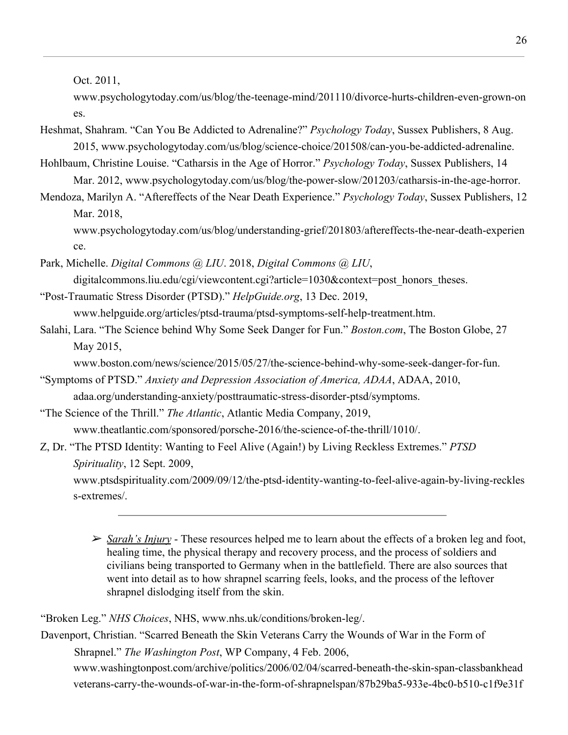Oct. 2011,

www.psychologytoday.com/us/blog/the-teenage-mind/201110/divorce-hurts-children-even-grown-on es.

Heshmat, Shahram. "Can You Be Addicted to Adrenaline?" *Psychology Today*, Sussex Publishers, 8 Aug. 2015, www.psychologytoday.com/us/blog/science-choice/201508/can-you-be-addicted-adrenaline.

Hohlbaum, Christine Louise. "Catharsis in the Age of Horror." *Psychology Today*, Sussex Publishers, 14 Mar. 2012, www.psychologytoday.com/us/blog/the-power-slow/201203/catharsis-in-the-age-horror.

Mendoza, Marilyn A. "Aftereffects of the Near Death Experience." *Psychology Today*, Sussex Publishers, 12 Mar. 2018,

www.psychologytoday.com/us/blog/understanding-grief/201803/aftereffects-the-near-death-experien ce.

Park, Michelle. *Digital Commons @ LIU*. 2018, *Digital Commons @ LIU*, digitalcommons.liu.edu/cgi/viewcontent.cgi?article=1030&context=post\_honors\_theses.

- "Post-Traumatic Stress Disorder (PTSD)." *HelpGuide.org*, 13 Dec. 2019, www.helpguide.org/articles/ptsd-trauma/ptsd-symptoms-self-help-treatment.htm.
- Salahi, Lara. "The Science behind Why Some Seek Danger for Fun." *Boston.com*, The Boston Globe, 27 May 2015,

www.boston.com/news/science/2015/05/27/the-science-behind-why-some-seek-danger-for-fun.

"Symptoms of PTSD." *Anxiety and Depression Association of America, ADAA*, ADAA, 2010, adaa.org/understanding-anxiety/posttraumatic-stress-disorder-ptsd/symptoms.

"The Science of the Thrill." *The Atlantic*, Atlantic Media Company, 2019, www.theatlantic.com/sponsored/porsche-2016/the-science-of-the-thrill/1010/.

### Z, Dr. "The PTSD Identity: Wanting to Feel Alive (Again!) by Living Reckless Extremes." *PTSD Spirituality*, 12 Sept. 2009,

www.ptsdspirituality.com/2009/09/12/the-ptsd-identity-wanting-to-feel-alive-again-by-living-reckles s-extremes/.

➢ *Sarah's Injury* - These resources helped me to learn about the effects of a broken leg and foot, healing time, the physical therapy and recovery process, and the process of soldiers and civilians being transported to Germany when in the battlefield. There are also sources that went into detail as to how shrapnel scarring feels, looks, and the process of the leftover shrapnel dislodging itself from the skin.

"Broken Leg." *NHS Choices*, NHS, [www.nhs.uk/conditions/broken-leg/.](http://www.nhs.uk/conditions/broken-leg/)

Davenport, Christian. "Scarred Beneath the Skin Veterans Carry the Wounds of War in the Form of Shrapnel." *The Washington Post*, WP Company, 4 Feb. 2006, www.washingtonpost.com/archive/politics/2006/02/04/scarred-beneath-the-skin-span-classbankhead veterans-carry-the-wounds-of-war-in-the-form-of-shrapnelspan/87b29ba5-933e-4bc0-b510-c1f9e31f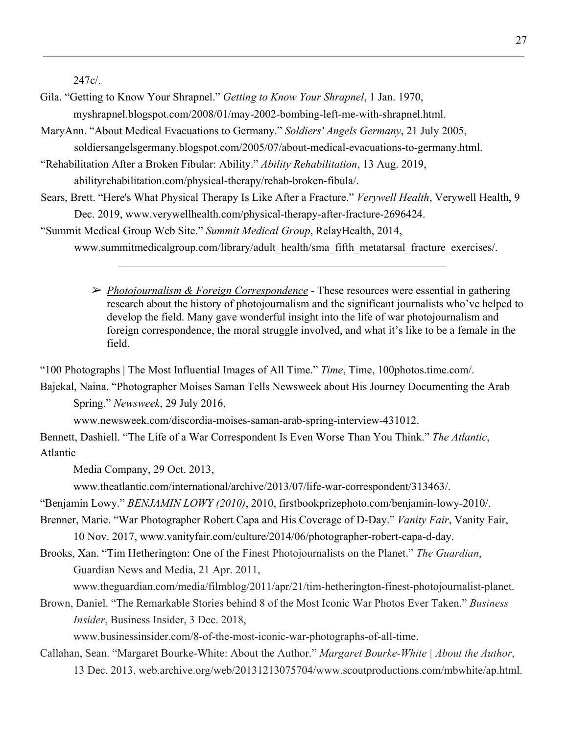247c/.

- Gila. "Getting to Know Your Shrapnel." *Getting to Know Your Shrapnel*, 1 Jan. 1970, myshrapnel.blogspot.com/2008/01/may-2002-bombing-left-me-with-shrapnel.html.
- MaryAnn. "About Medical Evacuations to Germany." *Soldiers' Angels Germany*, 21 July 2005, soldiersangelsgermany.blogspot.com/2005/07/about-medical-evacuations-to-germany.html.
- "Rehabilitation After a Broken Fibular: Ability." *Ability Rehabilitation*, 13 Aug. 2019,

abilityrehabilitation.com/physical-therapy/rehab-broken-fibula/.

- Sears, Brett. "Here's What Physical Therapy Is Like After a Fracture." *Verywell Health*, Verywell Health, 9 Dec. 2019, www.verywellhealth.com/physical-therapy-after-fracture-2696424.
- "Summit Medical Group Web Site." *Summit Medical Group*, RelayHealth, 2014,

www.summitmedicalgroup.com/library/adult\_health/sma\_fifth\_metatarsal\_fracture\_exercises/.

➢ *Photojournalism & Foreign Correspondence* - These resources were essential in gathering research about the history of photojournalism and the significant journalists who've helped to develop the field. Many gave wonderful insight into the life of war photojournalism and foreign correspondence, the moral struggle involved, and what it's like to be a female in the field.

"100 Photographs | The Most Influential Images of All Time." *Time*, Time, 100photos.time.com/.

Bajekal, Naina. "Photographer Moises Saman Tells Newsweek about His Journey Documenting the Arab Spring." *Newsweek*, 29 July 2016,

www.newsweek.com/discordia-moises-saman-arab-spring-interview-431012.

Bennett, Dashiell. "The Life of a War Correspondent Is Even Worse Than You Think." *The Atlantic*, Atlantic

Media Company, 29 Oct. 2013,

www.theatlantic.com/international/archive/2013/07/life-war-correspondent/313463/.

"Benjamin Lowy." *BENJAMIN LOWY (2010)*, 2010, firstbookprizephoto.com/benjamin-lowy-2010/.

- Brenner, Marie. "War Photographer Robert Capa and His Coverage of D-Day." *Vanity Fair*, Vanity Fair, 10 Nov. 2017, www.vanityfair.com/culture/2014/06/photographer-robert-capa-d-day.
- Brooks, Xan. "Tim Hetherington: One of the Finest Photojournalists on the Planet." *The Guardian*, Guardian News and Media, 21 Apr. 2011,

www.theguardian.com/media/filmblog/2011/apr/21/tim-hetherington-finest-photojournalist-planet.

Brown, Daniel. "The Remarkable Stories behind 8 of the Most Iconic War Photos Ever Taken." *Business Insider*, Business Insider, 3 Dec. 2018,

www.businessinsider.com/8-of-the-most-iconic-war-photographs-of-all-time.

Callahan, Sean. "Margaret Bourke-White: About the Author." *Margaret Bourke-White | About the Author*, 13 Dec. 2013, web.archive.org/web/20131213075704/www.scoutproductions.com/mbwhite/ap.html.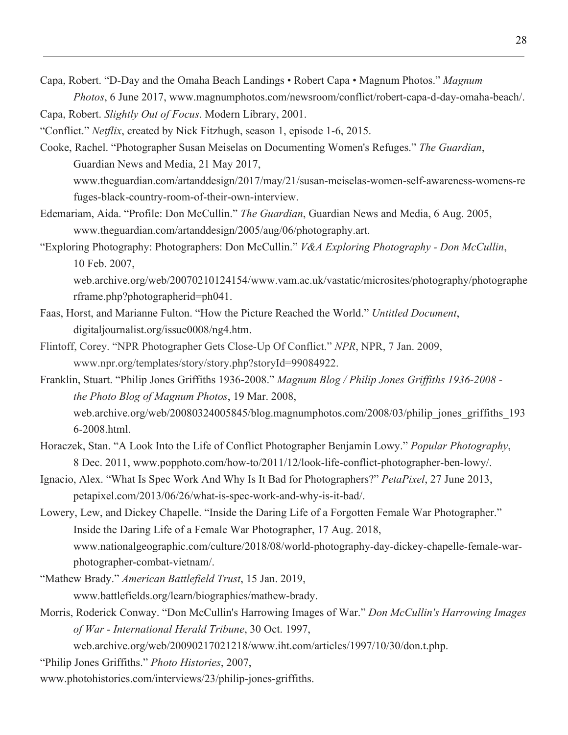Capa, Robert. "D-Day and the Omaha Beach Landings • Robert Capa • Magnum Photos." *Magnum Photos*, 6 June 2017, www.magnumphotos.com/newsroom/conflict/robert-capa-d-day-omaha-beach/.

Capa, Robert. *Slightly Out of Focus*. Modern Library, 2001. "Conflict." *Netflix*, created by Nick Fitzhugh, season 1, episode 1-6, 2015.

- Cooke, Rachel. "Photographer Susan Meiselas on Documenting Women's Refuges." *The Guardian*, Guardian News and Media, 21 May 2017, www.theguardian.com/artanddesign/2017/may/21/susan-meiselas-women-self-awareness-womens-re fuges-black-country-room-of-their-own-interview.
- Edemariam, Aida. "Profile: Don McCullin." *The Guardian*, Guardian News and Media, 6 Aug. 2005, www.theguardian.com/artanddesign/2005/aug/06/photography.art.
- "Exploring Photography: Photographers: Don McCullin." *V&A Exploring Photography Don McCullin*, 10 Feb. 2007,

web.archive.org/web/20070210124154/www.vam.ac.uk/vastatic/microsites/photography/photographe rframe.php?photographerid=ph041.

- Faas, Horst, and Marianne Fulton. "How the Picture Reached the World." *Untitled Document*, digitaljournalist.org/issue0008/ng4.htm.
- Flintoff, Corey. "NPR Photographer Gets Close-Up Of Conflict." *NPR*, NPR, 7 Jan. 2009, www.npr.org/templates/story/story.php?storyId=99084922.
- Franklin, Stuart. "Philip Jones Griffiths 1936-2008." *Magnum Blog / Philip Jones Griffiths 1936-2008 the Photo Blog of Magnum Photos*, 19 Mar. 2008, web.archive.org/web/20080324005845/blog.magnumphotos.com/2008/03/philip\_jones\_griffiths\_193 6-2008.html.
- Horaczek, Stan. "A Look Into the Life of Conflict Photographer Benjamin Lowy." *Popular Photography*, 8 Dec. 2011, www.popphoto.com/how-to/2011/12/look-life-conflict-photographer-ben-lowy/.
- Ignacio, Alex. "What Is Spec Work And Why Is It Bad for Photographers?" *PetaPixel*, 27 June 2013, petapixel.com/2013/06/26/what-is-spec-work-and-why-is-it-bad/.
- Lowery, Lew, and Dickey Chapelle. "Inside the Daring Life of a Forgotten Female War Photographer." Inside the Daring Life of a Female War Photographer, 17 Aug. 2018, www.nationalgeographic.com/culture/2018/08/world-photography-day-dickey-chapelle-female-warphotographer-combat-vietnam/.
- "Mathew Brady." *American Battlefield Trust*, 15 Jan. 2019, www.battlefields.org/learn/biographies/mathew-brady.
- Morris, Roderick Conway. "Don McCullin's Harrowing Images of War." *Don McCullin's Harrowing Images of War - International Herald Tribune*, 30 Oct. 1997,

web.archive.org/web/20090217021218/www.iht.com/articles/1997/10/30/don.t.php.

"Philip Jones Griffiths." *Photo Histories*, 2007,

www.photohistories.com/interviews/23/philip-jones-griffiths.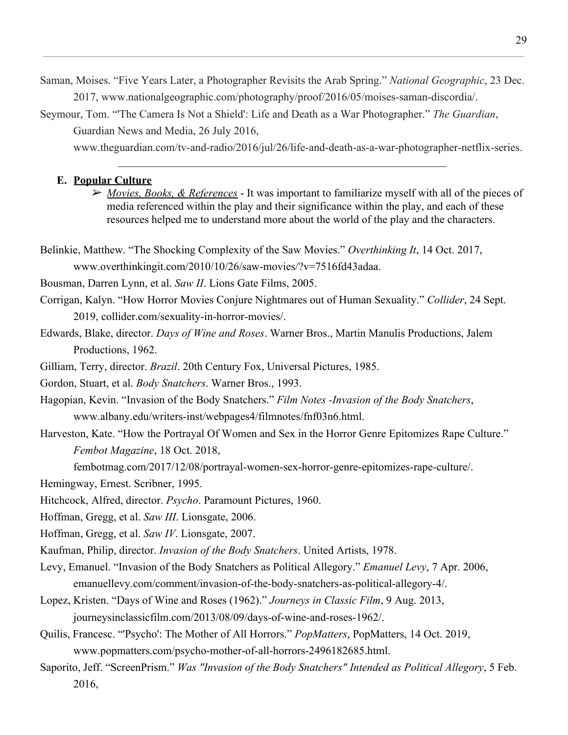Saman, Moises. "Five Years Later, a Photographer Revisits the Arab Spring." *National Geographic*, 23 Dec. 2017, www.nationalgeographic.com/photography/proof/2016/05/moises-saman-discordia/.

Seymour, Tom. "'The Camera Is Not a Shield': Life and Death as a War Photographer." *The Guardian*, Guardian News and Media, 26 July 2016,

www.theguardian.com/tv-and-radio/2016/jul/26/life-and-death-as-a-war-photographer-netflix-series.

#### **E. Popular Culture**

➢ *Movies, Books, & References* - It was important to familiarize myself with all of the pieces of media referenced within the play and their significance within the play, and each of these resources helped me to understand more about the world of the play and the characters.

Belinkie, Matthew. "The Shocking Complexity of the Saw Movies." *Overthinking It*, 14 Oct. 2017, www.overthinkingit.com/2010/10/26/saw-movies/?v=7516fd43adaa.

Bousman, Darren Lynn, et al. *Saw II*. Lions Gate Films, 2005.

Corrigan, Kalyn. "How Horror Movies Conjure Nightmares out of Human Sexuality." *Collider*, 24 Sept. 2019, collider.com/sexuality-in-horror-movies/.

Edwards, Blake, director. *Days of Wine and Roses*. Warner Bros., Martin Manulis Productions, Jalem Productions, 1962.

Gilliam, Terry, director. *Brazil*. 20th Century Fox, Universal Pictures, 1985.

Gordon, Stuart, et al. *Body Snatchers*. Warner Bros., 1993.

- Hagopian, Kevin. "Invasion of the Body Snatchers." *Film Notes -Invasion of the Body Snatchers*, www.albany.edu/writers-inst/webpages4/filmnotes/fnf03n6.html.
- Harveston, Kate. "How the Portrayal Of Women and Sex in the Horror Genre Epitomizes Rape Culture." *Fembot Magazine*, 18 Oct. 2018,

fembotmag.com/2017/12/08/portrayal-women-sex-horror-genre-epitomizes-rape-culture/.

Hemingway, Ernest. Scribner, 1995.

Hitchcock, Alfred, director. *Psycho*. Paramount Pictures, 1960.

Hoffman, Gregg, et al. *Saw III*. Lionsgate, 2006.

Hoffman, Gregg, et al. *Saw IV*. Lionsgate, 2007.

Kaufman, Philip, director. *Invasion of the Body Snatchers*. United Artists, 1978.

Levy, Emanuel. "Invasion of the Body Snatchers as Political Allegory." *Emanuel Levy*, 7 Apr. 2006, emanuellevy.com/comment/invasion-of-the-body-snatchers-as-political-allegory-4/.

Lopez, Kristen. "Days of Wine and Roses (1962)." *Journeys in Classic Film*, 9 Aug. 2013, journeysinclassicfilm.com/2013/08/09/days-of-wine-and-roses-1962/.

Quilis, Francesc. "'Psycho': The Mother of All Horrors." *PopMatters*, PopMatters, 14 Oct. 2019, www.popmatters.com/psycho-mother-of-all-horrors-2496182685.html.

Saporito, Jeff. "ScreenPrism." *Was "Invasion of the Body Snatchers" Intended as Political Allegory*, 5 Feb. 2016,